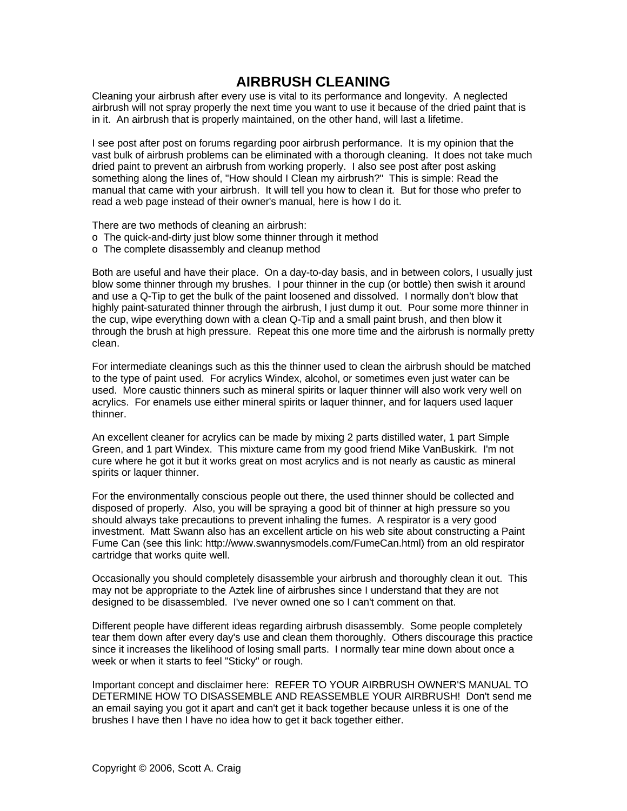## **AIRBRUSH CLEANING**

Cleaning your airbrush after every use is vital to its performance and longevity. A neglected airbrush will not spray properly the next time you want to use it because of the dried paint that is in it. An airbrush that is properly maintained, on the other hand, will last a lifetime.

I see post after post on forums regarding poor airbrush performance. It is my opinion that the vast bulk of airbrush problems can be eliminated with a thorough cleaning. It does not take much dried paint to prevent an airbrush from working properly. I also see post after post asking something along the lines of, "How should I Clean my airbrush?" This is simple: Read the manual that came with your airbrush. It will tell you how to clean it. But for those who prefer to read a web page instead of their owner's manual, here is how I do it.

There are two methods of cleaning an airbrush:

- o The quick-and-dirty just blow some thinner through it method
- o The complete disassembly and cleanup method

Both are useful and have their place. On a day-to-day basis, and in between colors, I usually just blow some thinner through my brushes. I pour thinner in the cup (or bottle) then swish it around and use a Q-Tip to get the bulk of the paint loosened and dissolved. I normally don't blow that highly paint-saturated thinner through the airbrush, I just dump it out. Pour some more thinner in the cup, wipe everything down with a clean Q-Tip and a small paint brush, and then blow it through the brush at high pressure. Repeat this one more time and the airbrush is normally pretty clean.

For intermediate cleanings such as this the thinner used to clean the airbrush should be matched to the type of paint used. For acrylics Windex, alcohol, or sometimes even just water can be used. More caustic thinners such as mineral spirits or laquer thinner will also work very well on acrylics. For enamels use either mineral spirits or laquer thinner, and for laquers used laquer thinner.

An excellent cleaner for acrylics can be made by mixing 2 parts distilled water, 1 part Simple Green, and 1 part Windex. This mixture came from my good friend Mike VanBuskirk. I'm not cure where he got it but it works great on most acrylics and is not nearly as caustic as mineral spirits or laquer thinner.

For the environmentally conscious people out there, the used thinner should be collected and disposed of properly. Also, you will be spraying a good bit of thinner at high pressure so you should always take precautions to prevent inhaling the fumes. A respirator is a very good investment. Matt Swann also has an excellent article on his web site about constructing a Paint Fume Can (see this link: http://www.swannysmodels.com/FumeCan.html) from an old respirator cartridge that works quite well.

Occasionally you should completely disassemble your airbrush and thoroughly clean it out. This may not be appropriate to the Aztek line of airbrushes since I understand that they are not designed to be disassembled. I've never owned one so I can't comment on that.

Different people have different ideas regarding airbrush disassembly. Some people completely tear them down after every day's use and clean them thoroughly. Others discourage this practice since it increases the likelihood of losing small parts. I normally tear mine down about once a week or when it starts to feel "Sticky" or rough.

Important concept and disclaimer here: REFER TO YOUR AIRBRUSH OWNER'S MANUAL TO DETERMINE HOW TO DISASSEMBLE AND REASSEMBLE YOUR AIRBRUSH! Don't send me an email saying you got it apart and can't get it back together because unless it is one of the brushes I have then I have no idea how to get it back together either.